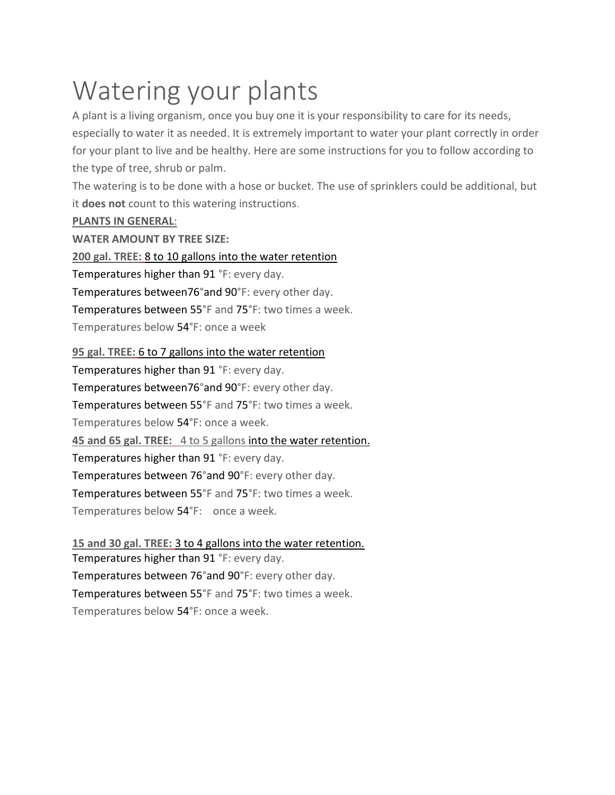# Watering your plants

A plant is a living organism, once you buy one it is your responsibility to care for its needs, especially to water it as needed. It is extremely important to water your plant correctly in order for your plant to live and be healthy. Here are some instructions for you to follow according to the type of tree, shrub or palm.

The watering is to be done with a hose or bucket. The use of sprinklers could be additional, but it **does not** count to this watering instructions.

## **PLANTS IN GENERAL**:

**WATER AMOUNT BY TREE SIZE:**

**200 gal. TREE:** 8 to 10 gallons into the water retention

Temperatures higher than 91 °F: every day.

Temperatures between76°and 90°F: every other day.

Temperatures between 55°F and 75°F: two times a week.

Temperatures below 54°F: once a week

## **95 gal. TREE:** 6 to 7 gallons into the water retention

Temperatures higher than 91 °F: every day. Temperatures between76°and 90°F: every other day. Temperatures between 55°F and 75°F: two times a week. Temperatures below 54°F: once a week. **45 and 65 gal. TREE:** 4 to 5 gallons into the water retention. Temperatures higher than 91 °F: every day. Temperatures between 76°and 90°F: every other day. Temperatures between 55°F and 75°F: two times a week. Temperatures below 54°F: once a week.

**15 and 30 gal. TREE:** 3 to 4 gallons into the water retention. Temperatures higher than 91 °F: every day. Temperatures between 76°and 90°F: every other day. Temperatures between 55°F and 75°F: two times a week. Temperatures below 54°F: once a week.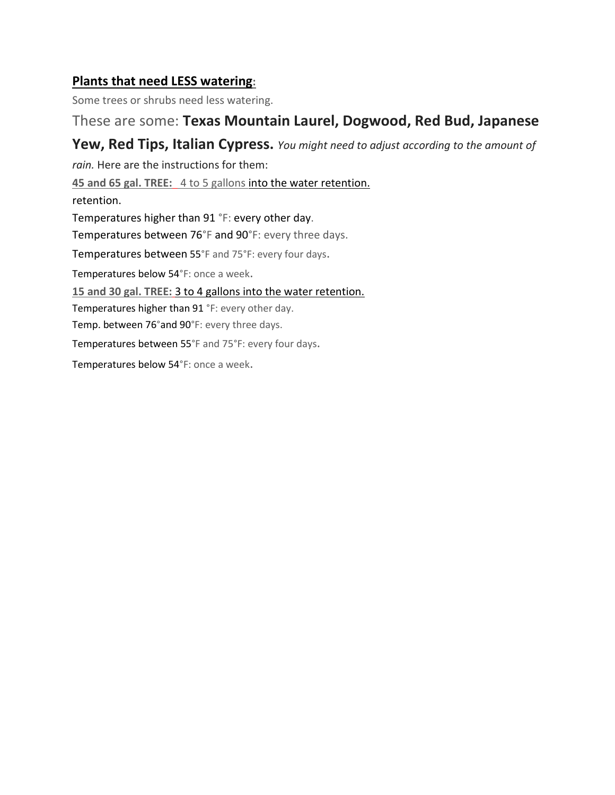## **Plants that need LESS watering:**

Some trees or shrubs need less watering.

## These are some: **Texas Mountain Laurel, Dogwood, Red Bud, Japanese**

## **Yew, Red Tips, Italian Cypress.** *You might need to adjust according to the amount of*

*rain.* Here are the instructions for them:

**45 and 65 gal. TREE:** 4 to 5 gallons into the water retention.

retention.

Temperatures higher than 91 °F: every other day.

Temperatures between 76°F and 90°F: every three days.

Temperatures between 55°F and 75°F: every four days.

Temperatures below 54°F: once a week.

**15 and 30 gal. TREE:** 3 to 4 gallons into the water retention.

Temperatures higher than 91 °F: every other day.

Temp. between 76°and 90°F: every three days.

Temperatures between 55°F and 75°F: every four days.

Temperatures below 54°F: once a week.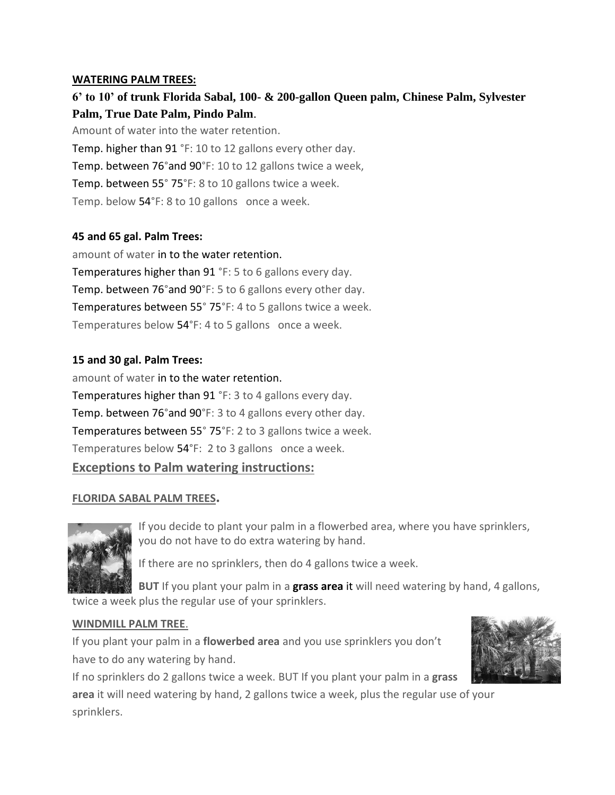#### **WATERING PALM TREES:**

## **6' to 10' of trunk Florida Sabal, 100- & 200-gallon Queen palm, Chinese Palm, Sylvester Palm, True Date Palm, Pindo Palm**.

Amount of water into the water retention. Temp. higher than 91 °F: 10 to 12 gallons every other day. Temp. between 76°and 90°F: 10 to 12 gallons twice a week, Temp. between 55° 75°F: 8 to 10 gallons twice a week. Temp. below 54°F: 8 to 10 gallons once a week.

#### **45 and 65 gal. Palm Trees:**

amount of water in to the water retention. Temperatures higher than 91 °F: 5 to 6 gallons every day. Temp. between 76°and 90°F: 5 to 6 gallons every other day. Temperatures between 55° 75°F: 4 to 5 gallons twice a week. Temperatures below 54°F: 4 to 5 gallons once a week.

#### **15 and 30 gal. Palm Trees:**

amount of water in to the water retention. Temperatures higher than 91 °F: 3 to 4 gallons every day. Temp. between 76°and 90°F: 3 to 4 gallons every other day. Temperatures between 55° 75°F: 2 to 3 gallons twice a week. Temperatures below 54°F: 2 to 3 gallons once a week.

#### **Exceptions to Palm watering instructions:**

#### **FLORIDA SABAL PALM TREES.**



If you decide to plant your palm in a flowerbed area, where you have sprinklers, you do not have to do extra watering by hand.

If there are no sprinklers, then do 4 gallons twice a week.

**BUT** If you plant your palm in a **grass area** it will need watering by hand, 4 gallons, twice a week plus the regular use of your sprinklers.

#### **WINDMILL PALM TREE**.

If you plant your palm in a **flowerbed area** and you use sprinklers you don't have to do any watering by hand.

If no sprinklers do 2 gallons twice a week. BUT If you plant your palm in a **grass** 

**area** it will need watering by hand, 2 gallons twice a week, plus the regular use of your sprinklers.

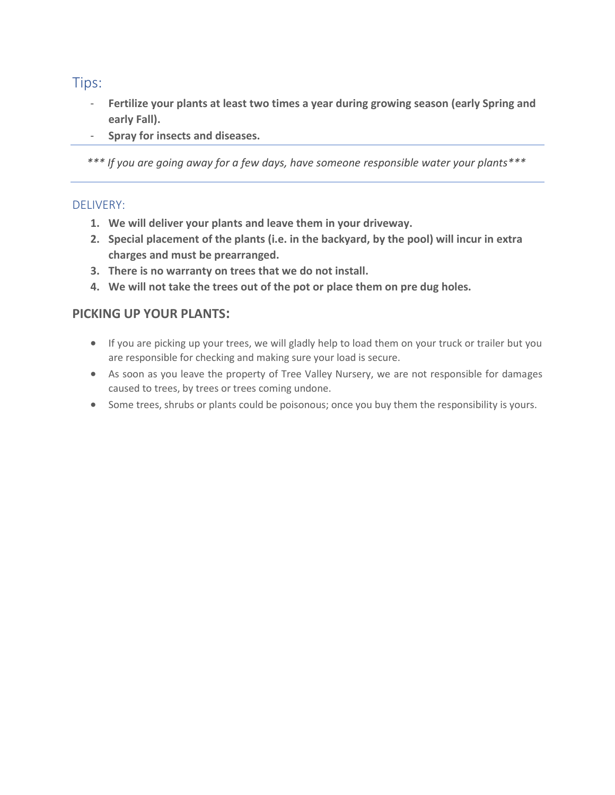Tips:

- **Fertilize your plants at least two times a year during growing season (early Spring and early Fall).**
- **Spray for insects and diseases.**

*\*\*\* If you are going away for a few days, have someone responsible water your plants\*\*\**

#### DELIVERY:

- **1. We will deliver your plants and leave them in your driveway.**
- **2. Special placement of the plants (i.e. in the backyard, by the pool) will incur in extra charges and must be prearranged.**
- **3. There is no warranty on trees that we do not install.**
- **4. We will not take the trees out of the pot or place them on pre dug holes.**

## **PICKING UP YOUR PLANTS:**

- If you are picking up your trees, we will gladly help to load them on your truck or trailer but you are responsible for checking and making sure your load is secure.
- As soon as you leave the property of Tree Valley Nursery, we are not responsible for damages caused to trees, by trees or trees coming undone.
- Some trees, shrubs or plants could be poisonous; once you buy them the responsibility is yours.